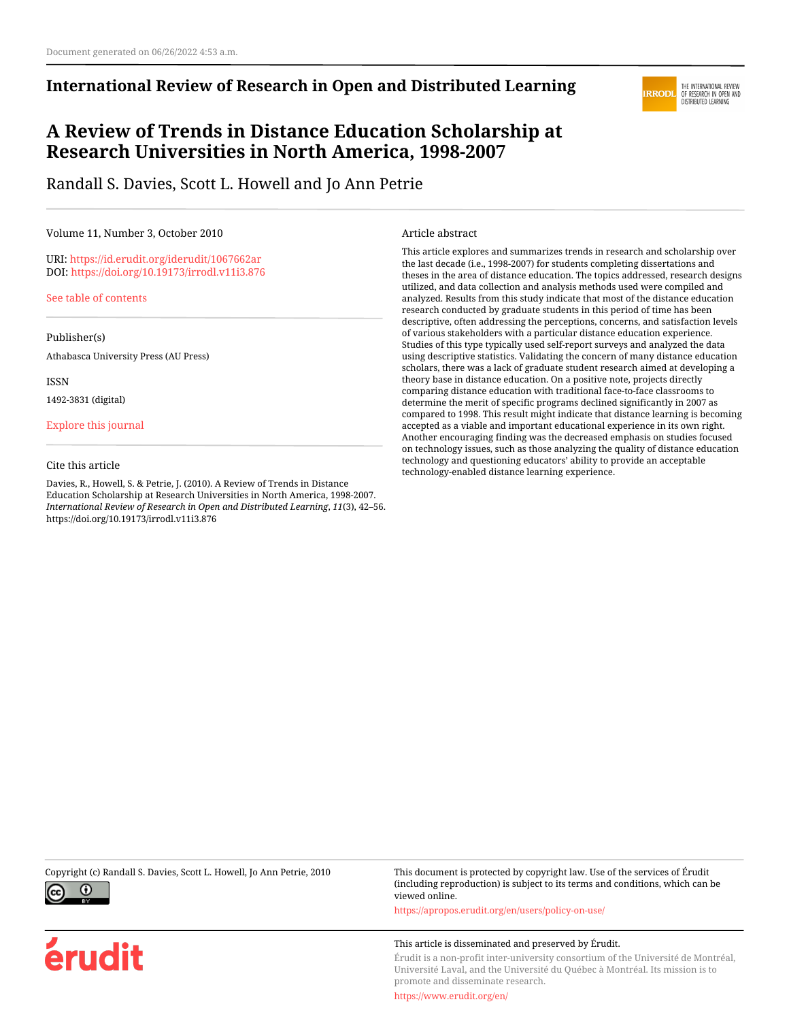### **International Review of Research in Open and Distributed Learning**

# **A Review of Trends in Distance Education Scholarship at Research Universities in North America, 1998-2007**

Randall S. Davies, Scott L. Howell and Jo Ann Petrie

#### Volume 11, Number 3, October 2010

URI:<https://id.erudit.org/iderudit/1067662ar> DOI:<https://doi.org/10.19173/irrodl.v11i3.876>

[See table of contents](https://www.erudit.org/en/journals/irrodl/2010-v11-n3-irrodl05136/)

Publisher(s)

Athabasca University Press (AU Press)

ISSN

1492-3831 (digital)

[Explore this journal](https://www.erudit.org/en/journals/irrodl/)

#### Cite this article

Davies, R., Howell, S. & Petrie, J. (2010). A Review of Trends in Distance Education Scholarship at Research Universities in North America, 1998-2007. *International Review of Research in Open and Distributed Learning*, *11*(3), 42–56. https://doi.org/10.19173/irrodl.v11i3.876

#### Article abstract

This article explores and summarizes trends in research and scholarship over the last decade (i.e., 1998-2007) for students completing dissertations and theses in the area of distance education. The topics addressed, research designs utilized, and data collection and analysis methods used were compiled and analyzed. Results from this study indicate that most of the distance education research conducted by graduate students in this period of time has been descriptive, often addressing the perceptions, concerns, and satisfaction levels of various stakeholders with a particular distance education experience. Studies of this type typically used self-report surveys and analyzed the data using descriptive statistics. Validating the concern of many distance education scholars, there was a lack of graduate student research aimed at developing a theory base in distance education. On a positive note, projects directly comparing distance education with traditional face-to-face classrooms to determine the merit of specific programs declined significantly in 2007 as compared to 1998. This result might indicate that distance learning is becoming accepted as a viable and important educational experience in its own right. Another encouraging finding was the decreased emphasis on studies focused on technology issues, such as those analyzing the quality of distance education technology and questioning educators' ability to provide an acceptable technology-enabled distance learning experience.



érudit

Copyright (c) Randall S. Davies, Scott L. Howell, Jo Ann Petrie, 2010 This document is protected by copyright law. Use of the services of Érudit (including reproduction) is subject to its terms and conditions, which can be viewed online.

<https://apropos.erudit.org/en/users/policy-on-use/>

#### This article is disseminated and preserved by Érudit.

Érudit is a non-profit inter-university consortium of the Université de Montréal, Université Laval, and the Université du Québec à Montréal. Its mission is to promote and disseminate research.

<https://www.erudit.org/en/>

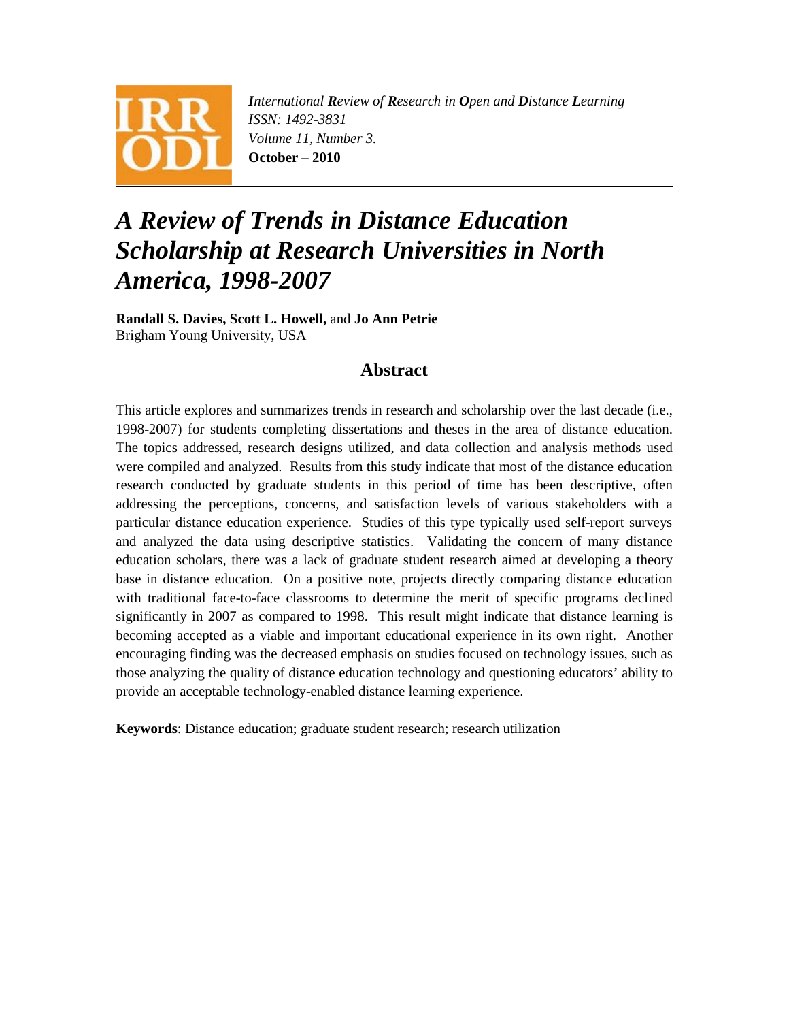

*International Review of Research in Open and Distance Learning ISSN: 1492-3831 Volume 11, Number 3.*  **October – 2010** 

# *A Review of Trends in Distance Education Scholarship at Research Universities in North America, 1998-2007*

**Randall S. Davies, Scott L. Howell,** and **Jo Ann Petrie** Brigham Young University, USA

### **Abstract**

This article explores and summarizes trends in research and scholarship over the last decade (i.e., 1998-2007) for students completing dissertations and theses in the area of distance education. The topics addressed, research designs utilized, and data collection and analysis methods used were compiled and analyzed. Results from this study indicate that most of the distance education research conducted by graduate students in this period of time has been descriptive, often addressing the perceptions, concerns, and satisfaction levels of various stakeholders with a particular distance education experience. Studies of this type typically used self-report surveys and analyzed the data using descriptive statistics. Validating the concern of many distance education scholars, there was a lack of graduate student research aimed at developing a theory base in distance education. On a positive note, projects directly comparing distance education with traditional face-to-face classrooms to determine the merit of specific programs declined significantly in 2007 as compared to 1998. This result might indicate that distance learning is becoming accepted as a viable and important educational experience in its own right. Another encouraging finding was the decreased emphasis on studies focused on technology issues, such as those analyzing the quality of distance education technology and questioning educators' ability to provide an acceptable technology-enabled distance learning experience.

**Keywords**: Distance education; graduate student research; research utilization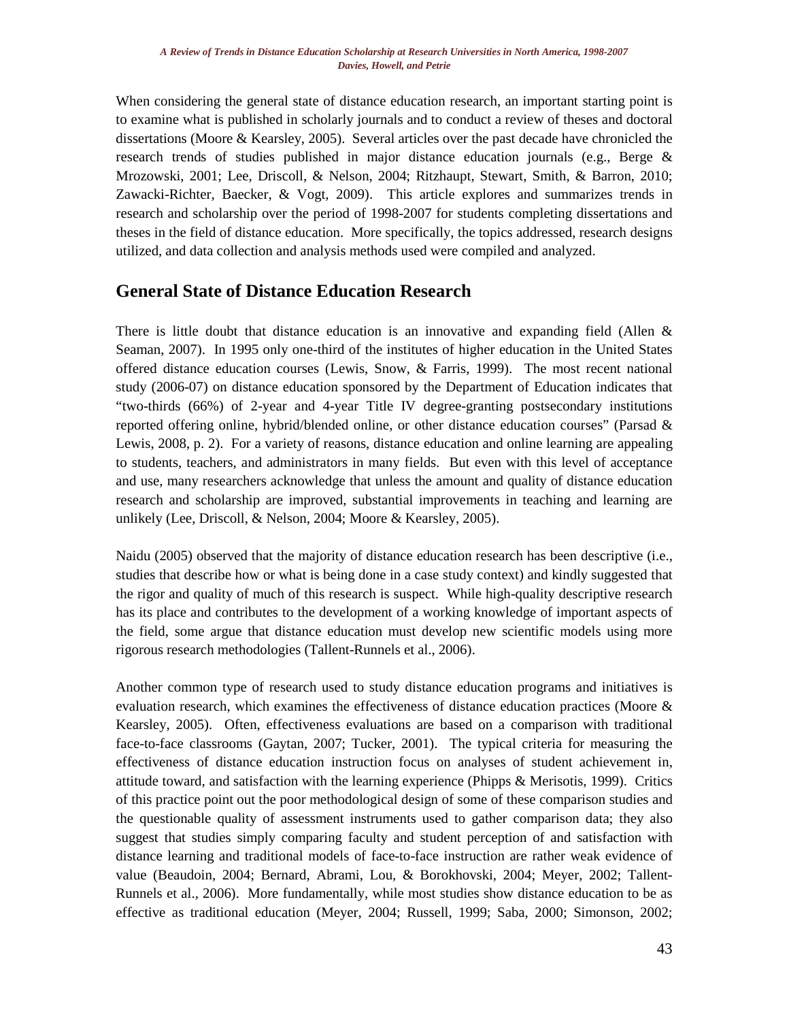When considering the general state of distance education research, an important starting point is to examine what is published in scholarly journals and to conduct a review of theses and doctoral dissertations (Moore & Kearsley, 2005). Several articles over the past decade have chronicled the research trends of studies published in major distance education journals (e.g., Berge & Mrozowski, 2001; Lee, Driscoll, & Nelson, 2004; Ritzhaupt, Stewart, Smith, & Barron, 2010; Zawacki-Richter, Baecker, & Vogt, 2009). This article explores and summarizes trends in research and scholarship over the period of 1998-2007 for students completing dissertations and theses in the field of distance education. More specifically, the topics addressed, research designs utilized, and data collection and analysis methods used were compiled and analyzed.

### **General State of Distance Education Research**

There is little doubt that distance education is an innovative and expanding field (Allen  $\&$ Seaman, 2007). In 1995 only one-third of the institutes of higher education in the United States offered distance education courses (Lewis, Snow, & Farris, 1999). The most recent national study (2006-07) on distance education sponsored by the Department of Education indicates that "two-thirds (66%) of 2-year and 4-year Title IV degree-granting postsecondary institutions reported offering online, hybrid/blended online, or other distance education courses" (Parsad & Lewis, 2008, p. 2). For a variety of reasons, distance education and online learning are appealing to students, teachers, and administrators in many fields. But even with this level of acceptance and use, many researchers acknowledge that unless the amount and quality of distance education research and scholarship are improved, substantial improvements in teaching and learning are unlikely (Lee, Driscoll, & Nelson, 2004; Moore & Kearsley, 2005).

Naidu (2005) observed that the majority of distance education research has been descriptive (i.e., studies that describe how or what is being done in a case study context) and kindly suggested that the rigor and quality of much of this research is suspect. While high-quality descriptive research has its place and contributes to the development of a working knowledge of important aspects of the field, some argue that distance education must develop new scientific models using more rigorous research methodologies (Tallent-Runnels et al., 2006).

Another common type of research used to study distance education programs and initiatives is evaluation research, which examines the effectiveness of distance education practices (Moore & Kearsley, 2005). Often, effectiveness evaluations are based on a comparison with traditional face-to-face classrooms (Gaytan, 2007; Tucker, 2001). The typical criteria for measuring the effectiveness of distance education instruction focus on analyses of student achievement in, attitude toward, and satisfaction with the learning experience (Phipps & Merisotis, 1999). Critics of this practice point out the poor methodological design of some of these comparison studies and the questionable quality of assessment instruments used to gather comparison data; they also suggest that studies simply comparing faculty and student perception of and satisfaction with distance learning and traditional models of face-to-face instruction are rather weak evidence of value (Beaudoin, 2004; Bernard, Abrami, Lou, & Borokhovski, 2004; Meyer, 2002; Tallent-Runnels et al., 2006). More fundamentally, while most studies show distance education to be as effective as traditional education (Meyer, 2004; Russell, 1999; Saba, 2000; Simonson, 2002;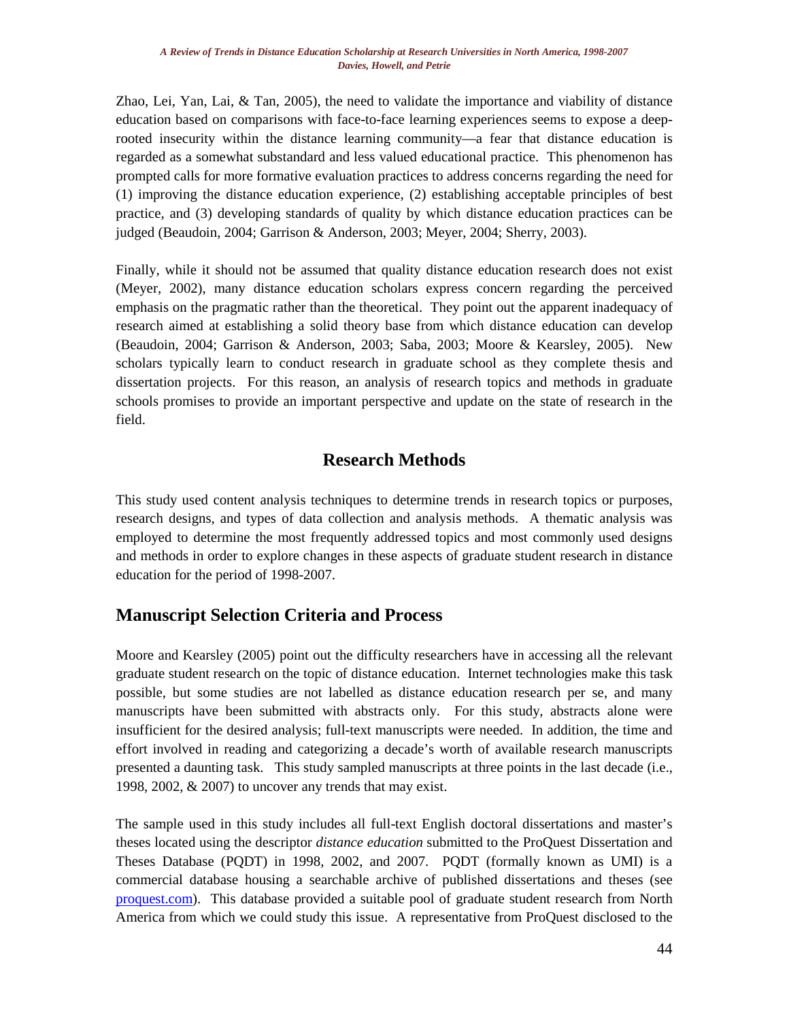Zhao, Lei, Yan, Lai, & Tan, 2005), the need to validate the importance and viability of distance education based on comparisons with face-to-face learning experiences seems to expose a deeprooted insecurity within the distance learning community—a fear that distance education is regarded as a somewhat substandard and less valued educational practice. This phenomenon has prompted calls for more formative evaluation practices to address concerns regarding the need for (1) improving the distance education experience, (2) establishing acceptable principles of best practice, and (3) developing standards of quality by which distance education practices can be judged (Beaudoin, 2004; Garrison & Anderson, 2003; Meyer, 2004; Sherry, 2003).

Finally, while it should not be assumed that quality distance education research does not exist (Meyer, 2002), many distance education scholars express concern regarding the perceived emphasis on the pragmatic rather than the theoretical. They point out the apparent inadequacy of research aimed at establishing a solid theory base from which distance education can develop (Beaudoin, 2004; Garrison & Anderson, 2003; Saba, 2003; Moore & Kearsley, 2005). New scholars typically learn to conduct research in graduate school as they complete thesis and dissertation projects. For this reason, an analysis of research topics and methods in graduate schools promises to provide an important perspective and update on the state of research in the field.

# **Research Methods**

This study used content analysis techniques to determine trends in research topics or purposes, research designs, and types of data collection and analysis methods. A thematic analysis was employed to determine the most frequently addressed topics and most commonly used designs and methods in order to explore changes in these aspects of graduate student research in distance education for the period of 1998-2007.

# **Manuscript Selection Criteria and Process**

Moore and Kearsley (2005) point out the difficulty researchers have in accessing all the relevant graduate student research on the topic of distance education. Internet technologies make this task possible, but some studies are not labelled as distance education research per se, and many manuscripts have been submitted with abstracts only. For this study, abstracts alone were insufficient for the desired analysis; full-text manuscripts were needed. In addition, the time and effort involved in reading and categorizing a decade's worth of available research manuscripts presented a daunting task. This study sampled manuscripts at three points in the last decade (i.e., 1998, 2002, & 2007) to uncover any trends that may exist.

The sample used in this study includes all full-text English doctoral dissertations and master's theses located using the descriptor *distance education* submitted to the ProQuest Dissertation and Theses Database (PQDT) in 1998, 2002, and 2007. PQDT (formally known as UMI) is a commercial database housing a searchable archive of published dissertations and theses (see [proquest.com\)](http://proquest.com/en-US/). This database provided a suitable pool of graduate student research from North America from which we could study this issue. A representative from ProQuest disclosed to the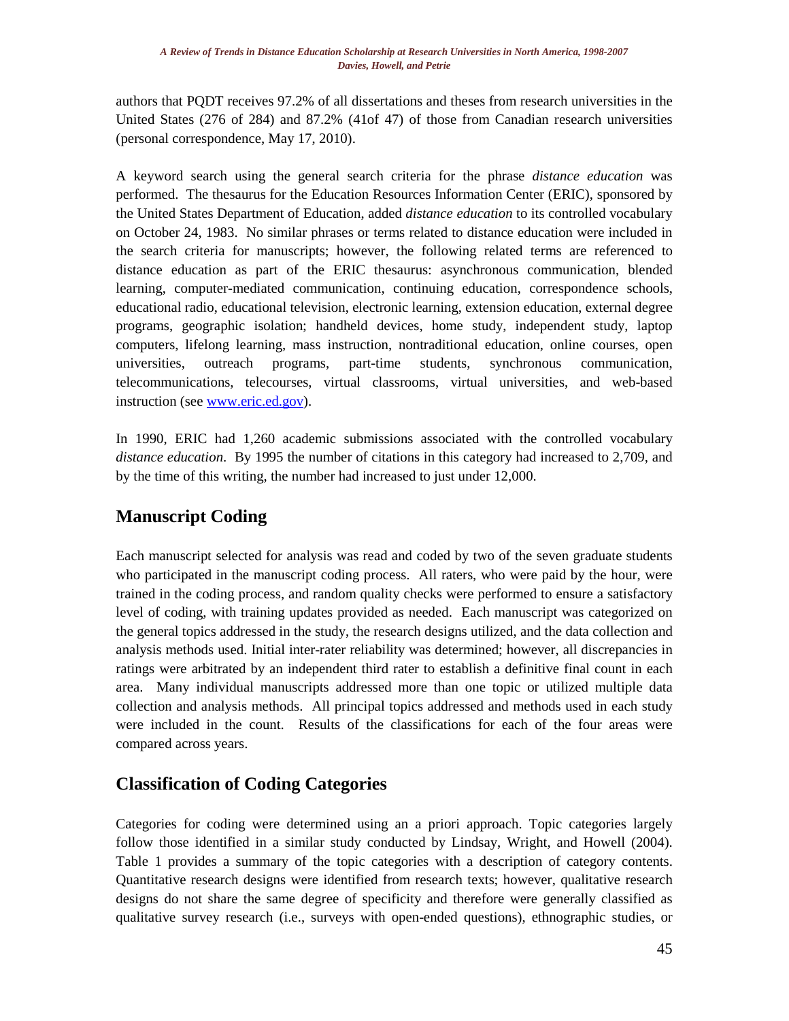authors that PQDT receives 97.2% of all dissertations and theses from research universities in the United States (276 of 284) and 87.2% (41of 47) of those from Canadian research universities (personal correspondence, May 17, 2010).

A keyword search using the general search criteria for the phrase *distance education* was performed. The thesaurus for the Education Resources Information Center (ERIC), sponsored by the United States Department of Education, added *distance education* to its controlled vocabulary on October 24, 1983. No similar phrases or terms related to distance education were included in the search criteria for manuscripts; however, the following related terms are referenced to distance education as part of the ERIC thesaurus: asynchronous communication, blended learning, computer-mediated communication, continuing education, correspondence schools, educational radio, educational television, electronic learning, extension education, external degree programs, geographic isolation; handheld devices, home study, independent study, laptop computers, lifelong learning, mass instruction, nontraditional education, online courses, open universities, outreach programs, part-time students, synchronous communication, telecommunications, telecourses, virtual classrooms, virtual universities, and web-based instruction (see [www.eric.ed.gov\)](http://www.eric.ed.gov/).

In 1990, ERIC had 1,260 academic submissions associated with the controlled vocabulary *distance education*. By 1995 the number of citations in this category had increased to 2,709, and by the time of this writing, the number had increased to just under 12,000.

# **Manuscript Coding**

Each manuscript selected for analysis was read and coded by two of the seven graduate students who participated in the manuscript coding process. All raters, who were paid by the hour, were trained in the coding process, and random quality checks were performed to ensure a satisfactory level of coding, with training updates provided as needed. Each manuscript was categorized on the general topics addressed in the study, the research designs utilized, and the data collection and analysis methods used. Initial inter-rater reliability was determined; however, all discrepancies in ratings were arbitrated by an independent third rater to establish a definitive final count in each area. Many individual manuscripts addressed more than one topic or utilized multiple data collection and analysis methods. All principal topics addressed and methods used in each study were included in the count. Results of the classifications for each of the four areas were compared across years.

# **Classification of Coding Categories**

Categories for coding were determined using an a priori approach. Topic categories largely follow those identified in a similar study conducted by Lindsay, Wright, and Howell (2004). Table 1 provides a summary of the topic categories with a description of category contents. Quantitative research designs were identified from research texts; however, qualitative research designs do not share the same degree of specificity and therefore were generally classified as qualitative survey research (i.e., surveys with open-ended questions), ethnographic studies, or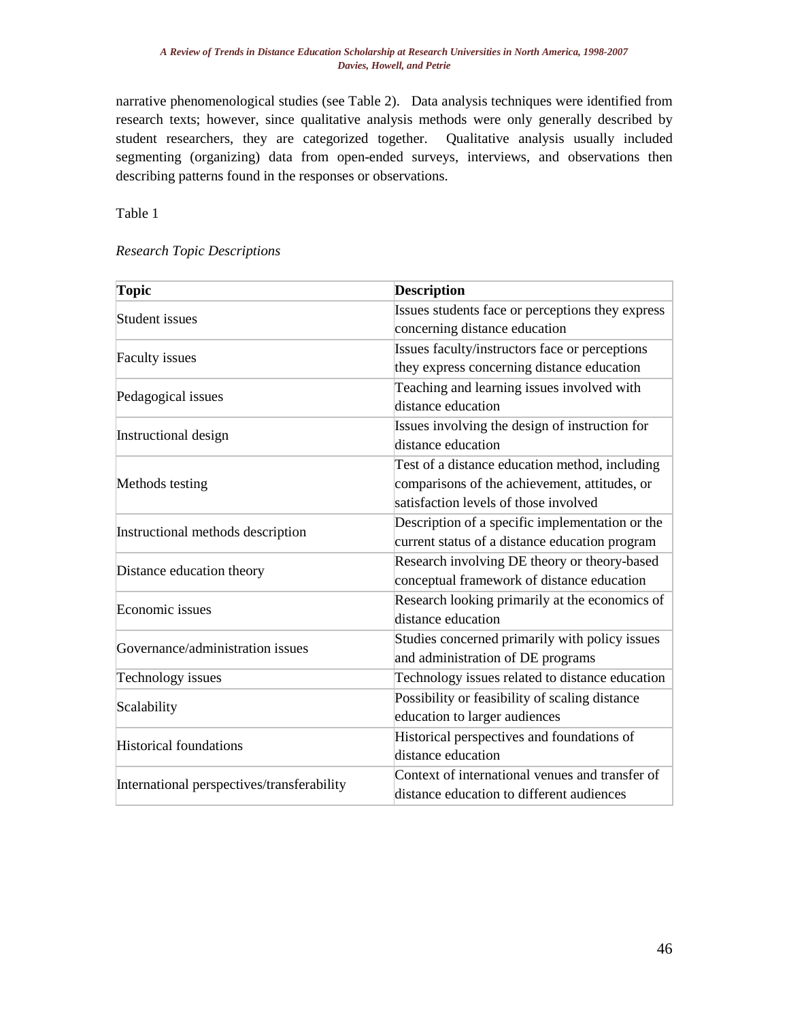narrative phenomenological studies (see Table 2). Data analysis techniques were identified from research texts; however, since qualitative analysis methods were only generally described by student researchers, they are categorized together. Qualitative analysis usually included segmenting (organizing) data from open-ended surveys, interviews, and observations then describing patterns found in the responses or observations.

Table 1

#### *Research Topic Descriptions*

| Topic                                      | <b>Description</b>                               |  |  |  |  |
|--------------------------------------------|--------------------------------------------------|--|--|--|--|
| Student issues                             | Issues students face or perceptions they express |  |  |  |  |
|                                            | concerning distance education                    |  |  |  |  |
| <b>Faculty issues</b>                      | Issues faculty/instructors face or perceptions   |  |  |  |  |
|                                            | they express concerning distance education       |  |  |  |  |
| Pedagogical issues                         | Teaching and learning issues involved with       |  |  |  |  |
|                                            | distance education                               |  |  |  |  |
| Instructional design                       | Issues involving the design of instruction for   |  |  |  |  |
|                                            | distance education                               |  |  |  |  |
|                                            | Test of a distance education method, including   |  |  |  |  |
| Methods testing                            | comparisons of the achievement, attitudes, or    |  |  |  |  |
|                                            | satisfaction levels of those involved            |  |  |  |  |
| Instructional methods description          | Description of a specific implementation or the  |  |  |  |  |
|                                            | current status of a distance education program   |  |  |  |  |
| Distance education theory                  | Research involving DE theory or theory-based     |  |  |  |  |
|                                            | conceptual framework of distance education       |  |  |  |  |
| Economic issues                            | Research looking primarily at the economics of   |  |  |  |  |
|                                            | distance education                               |  |  |  |  |
| Governance/administration issues           | Studies concerned primarily with policy issues   |  |  |  |  |
|                                            | and administration of DE programs                |  |  |  |  |
| Technology issues                          | Technology issues related to distance education  |  |  |  |  |
| Scalability                                | Possibility or feasibility of scaling distance   |  |  |  |  |
|                                            | education to larger audiences                    |  |  |  |  |
| <b>Historical foundations</b>              | Historical perspectives and foundations of       |  |  |  |  |
|                                            | distance education                               |  |  |  |  |
| International perspectives/transferability | Context of international venues and transfer of  |  |  |  |  |
|                                            | distance education to different audiences        |  |  |  |  |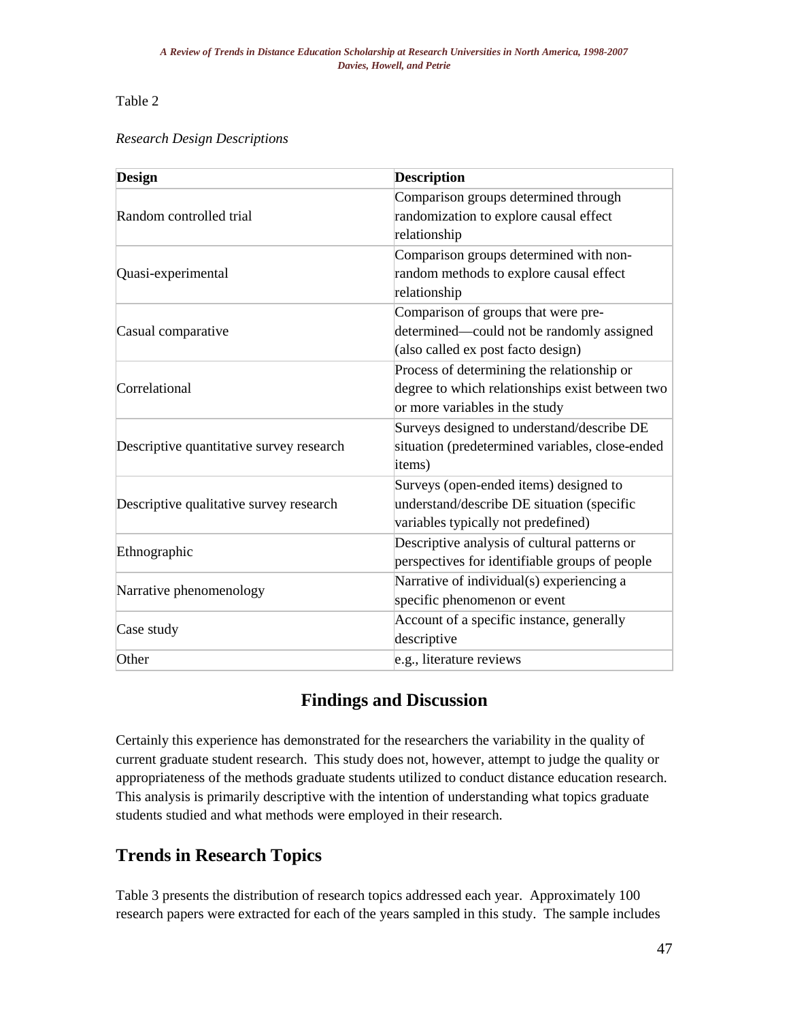### Table 2

### *Research Design Descriptions*

| Design                                   | <b>Description</b>                                                                                                              |  |  |  |  |
|------------------------------------------|---------------------------------------------------------------------------------------------------------------------------------|--|--|--|--|
| Random controlled trial                  | Comparison groups determined through<br>randomization to explore causal effect<br>relationship                                  |  |  |  |  |
| Quasi-experimental                       | Comparison groups determined with non-<br>random methods to explore causal effect<br>relationship                               |  |  |  |  |
| Casual comparative                       | Comparison of groups that were pre-<br>determined—could not be randomly assigned<br>(also called ex post facto design)          |  |  |  |  |
| Correlational                            | Process of determining the relationship or<br>degree to which relationships exist between two<br>or more variables in the study |  |  |  |  |
| Descriptive quantitative survey research | Surveys designed to understand/describe DE<br>situation (predetermined variables, close-ended<br>items)                         |  |  |  |  |
| Descriptive qualitative survey research  | Surveys (open-ended items) designed to<br>understand/describe DE situation (specific<br>variables typically not predefined)     |  |  |  |  |
| Ethnographic                             | Descriptive analysis of cultural patterns or<br>perspectives for identifiable groups of people                                  |  |  |  |  |
| Narrative phenomenology                  | Narrative of individual(s) experiencing a<br>specific phenomenon or event                                                       |  |  |  |  |
| Case study                               | Account of a specific instance, generally<br>descriptive                                                                        |  |  |  |  |
| Other                                    | e.g., literature reviews                                                                                                        |  |  |  |  |

# **Findings and Discussion**

Certainly this experience has demonstrated for the researchers the variability in the quality of current graduate student research. This study does not, however, attempt to judge the quality or appropriateness of the methods graduate students utilized to conduct distance education research. This analysis is primarily descriptive with the intention of understanding what topics graduate students studied and what methods were employed in their research.

# **Trends in Research Topics**

Table 3 presents the distribution of research topics addressed each year. Approximately 100 research papers were extracted for each of the years sampled in this study. The sample includes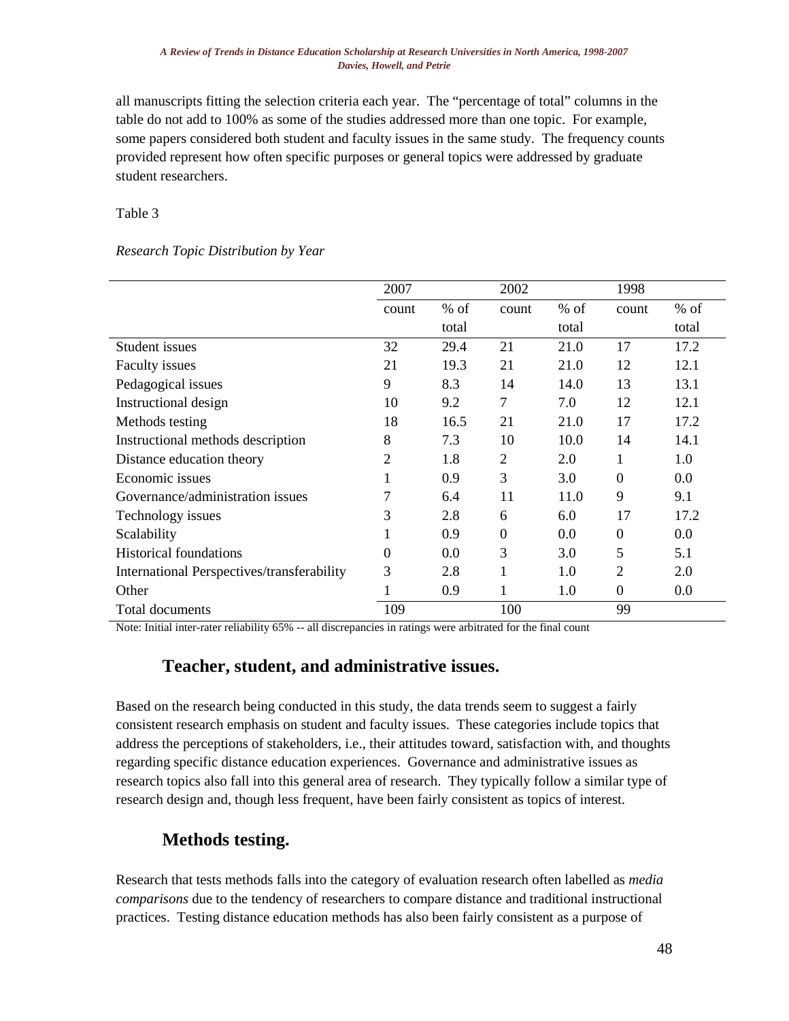all manuscripts fitting the selection criteria each year. The "percentage of total" columns in the table do not add to 100% as some of the studies addressed more than one topic. For example, some papers considered both student and faculty issues in the same study. The frequency counts provided represent how often specific purposes or general topics were addressed by graduate student researchers.

Table 3

#### *Research Topic Distribution by Year*

|                                            | 2007           |        | 2002     |        | 1998     |        |
|--------------------------------------------|----------------|--------|----------|--------|----------|--------|
|                                            | count          | $%$ of | count    | $%$ of | count    | $%$ of |
|                                            |                | total  |          | total  |          | total  |
| Student issues                             | 32             | 29.4   | 21       | 21.0   | 17       | 17.2   |
| Faculty issues                             | 21             | 19.3   | 21       | 21.0   | 12       | 12.1   |
| Pedagogical issues                         | 9              | 8.3    | 14       | 14.0   | 13       | 13.1   |
| Instructional design                       | 10             | 9.2    | 7        | 7.0    | 12       | 12.1   |
| Methods testing                            | 18             | 16.5   | 21       | 21.0   | 17       | 17.2   |
| Instructional methods description          | 8              | 7.3    | 10       | 10.0   | 14       | 14.1   |
| Distance education theory                  | $\overline{2}$ | 1.8    | 2        | 2.0    | 1        | 1.0    |
| Economic issues                            |                | 0.9    | 3        | 3.0    | $\theta$ | 0.0    |
| Governance/administration issues           | 7              | 6.4    | 11       | 11.0   | 9        | 9.1    |
| Technology issues                          | 3              | 2.8    | 6        | 6.0    | 17       | 17.2   |
| Scalability                                |                | 0.9    | $\theta$ | 0.0    | $\Omega$ | 0.0    |
| <b>Historical foundations</b>              | 0              | 0.0    | 3        | 3.0    | 5        | 5.1    |
| International Perspectives/transferability | 3              | 2.8    | 1        | 1.0    | 2        | 2.0    |
| Other                                      |                | 0.9    | 1        | 1.0    | $\Omega$ | 0.0    |
| <b>Total documents</b>                     | 109            |        | 100      |        | 99       |        |

Note: Initial inter-rater reliability 65% -- all discrepancies in ratings were arbitrated for the final count

### **Teacher, student, and administrative issues.**

Based on the research being conducted in this study, the data trends seem to suggest a fairly consistent research emphasis on student and faculty issues. These categories include topics that address the perceptions of stakeholders, i.e., their attitudes toward, satisfaction with, and thoughts regarding specific distance education experiences. Governance and administrative issues as research topics also fall into this general area of research. They typically follow a similar type of research design and, though less frequent, have been fairly consistent as topics of interest.

### **Methods testing.**

Research that tests methods falls into the category of evaluation research often labelled as *media comparisons* due to the tendency of researchers to compare distance and traditional instructional practices. Testing distance education methods has also been fairly consistent as a purpose of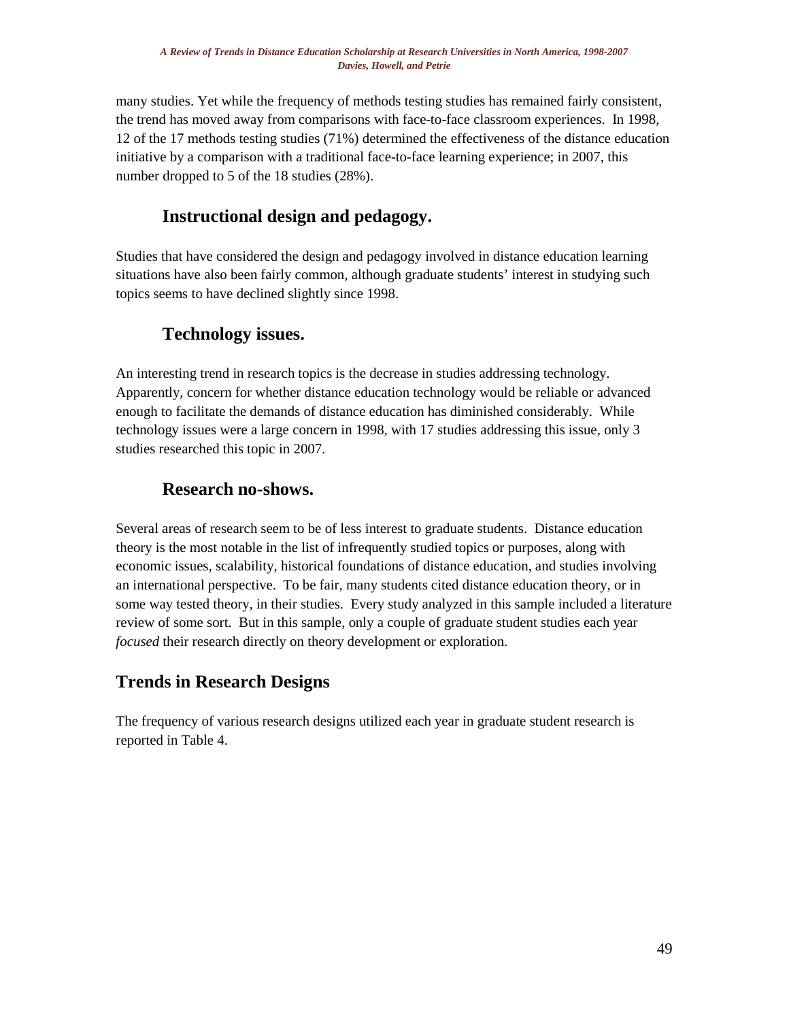many studies. Yet while the frequency of methods testing studies has remained fairly consistent, the trend has moved away from comparisons with face-to-face classroom experiences. In 1998, 12 of the 17 methods testing studies (71%) determined the effectiveness of the distance education initiative by a comparison with a traditional face-to-face learning experience; in 2007, this number dropped to 5 of the 18 studies (28%).

# **Instructional design and pedagogy.**

Studies that have considered the design and pedagogy involved in distance education learning situations have also been fairly common, although graduate students' interest in studying such topics seems to have declined slightly since 1998.

# **Technology issues.**

An interesting trend in research topics is the decrease in studies addressing technology. Apparently, concern for whether distance education technology would be reliable or advanced enough to facilitate the demands of distance education has diminished considerably. While technology issues were a large concern in 1998, with 17 studies addressing this issue, only 3 studies researched this topic in 2007.

# **Research no-shows.**

Several areas of research seem to be of less interest to graduate students. Distance education theory is the most notable in the list of infrequently studied topics or purposes, along with economic issues, scalability, historical foundations of distance education, and studies involving an international perspective. To be fair, many students cited distance education theory, or in some way tested theory, in their studies. Every study analyzed in this sample included a literature review of some sort. But in this sample, only a couple of graduate student studies each year *focused* their research directly on theory development or exploration.

# **Trends in Research Designs**

The frequency of various research designs utilized each year in graduate student research is reported in Table 4.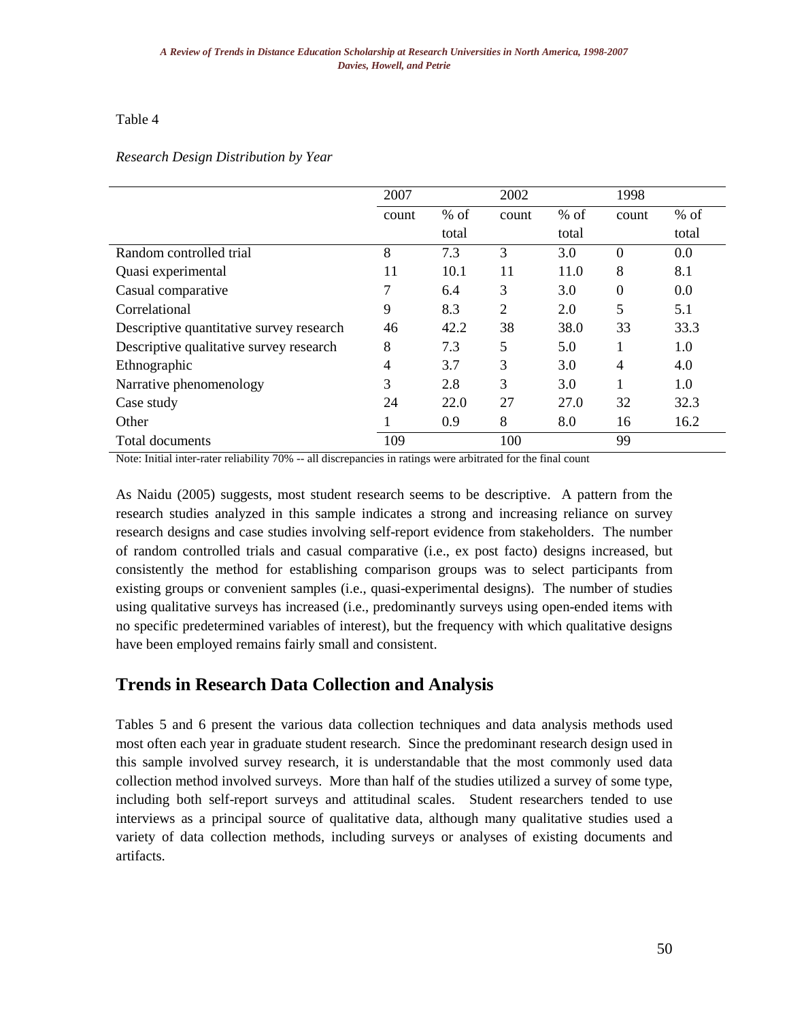### Table 4

### *Research Design Distribution by Year*

|                                          | 2007  |        | 2002  |        | 1998           |        |
|------------------------------------------|-------|--------|-------|--------|----------------|--------|
|                                          | count | $%$ of | count | $%$ of | count          | $%$ of |
|                                          |       | total  |       | total  |                | total  |
| Random controlled trial                  | 8     | 7.3    | 3     | 3.0    | $\theta$       | 0.0    |
| Quasi experimental                       | 11    | 10.1   | 11    | 11.0   | 8              | 8.1    |
| Casual comparative                       |       | 6.4    | 3     | 3.0    | $\theta$       | 0.0    |
| Correlational                            | 9     | 8.3    | 2     | 2.0    | 5              | 5.1    |
| Descriptive quantitative survey research | 46    | 42.2   | 38    | 38.0   | 33             | 33.3   |
| Descriptive qualitative survey research  | 8     | 7.3    | 5     | 5.0    | 1              | 1.0    |
| Ethnographic                             | 4     | 3.7    | 3     | 3.0    | $\overline{4}$ | 4.0    |
| Narrative phenomenology                  | 3     | 2.8    | 3     | 3.0    |                | 1.0    |
| Case study                               | 24    | 22.0   | 27    | 27.0   | 32             | 32.3   |
| Other                                    |       | 0.9    | 8     | 8.0    | 16             | 16.2   |
| Total documents                          | 109   |        | 100   |        | 99             |        |

Note: Initial inter-rater reliability 70% -- all discrepancies in ratings were arbitrated for the final count

As Naidu (2005) suggests, most student research seems to be descriptive. A pattern from the research studies analyzed in this sample indicates a strong and increasing reliance on survey research designs and case studies involving self-report evidence from stakeholders. The number of random controlled trials and casual comparative (i.e., ex post facto) designs increased, but consistently the method for establishing comparison groups was to select participants from existing groups or convenient samples (i.e., quasi-experimental designs). The number of studies using qualitative surveys has increased (i.e., predominantly surveys using open-ended items with no specific predetermined variables of interest), but the frequency with which qualitative designs have been employed remains fairly small and consistent.

### **Trends in Research Data Collection and Analysis**

Tables 5 and 6 present the various data collection techniques and data analysis methods used most often each year in graduate student research. Since the predominant research design used in this sample involved survey research, it is understandable that the most commonly used data collection method involved surveys. More than half of the studies utilized a survey of some type, including both self-report surveys and attitudinal scales. Student researchers tended to use interviews as a principal source of qualitative data, although many qualitative studies used a variety of data collection methods, including surveys or analyses of existing documents and artifacts.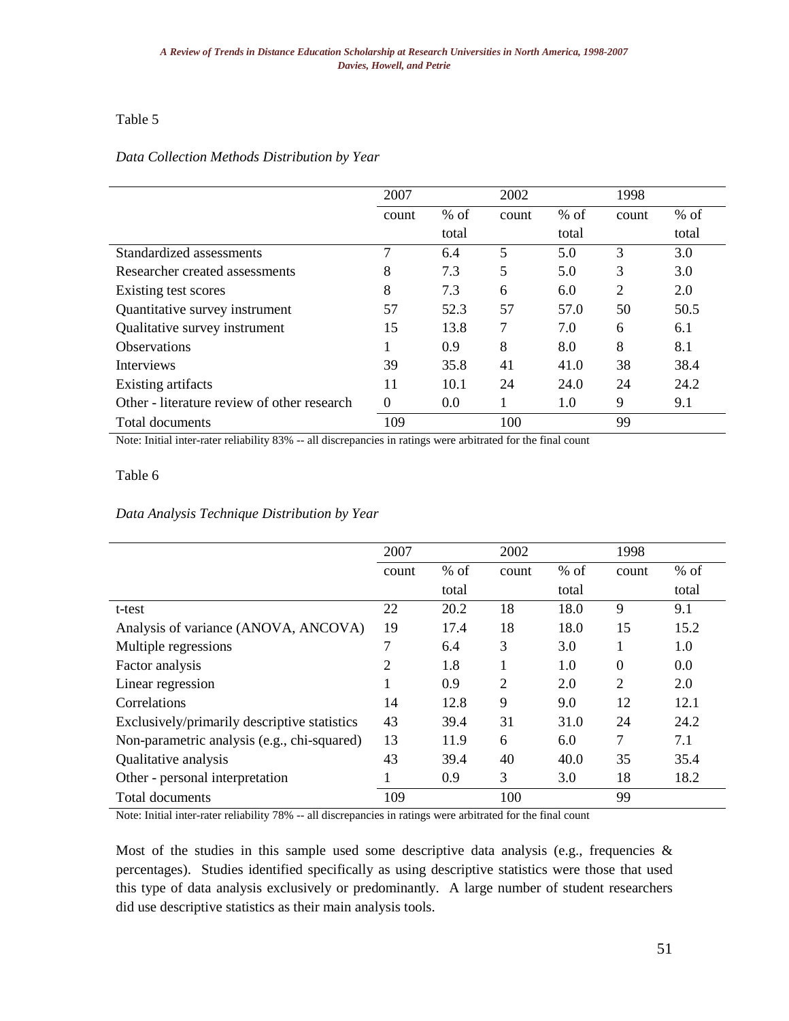### Table 5

#### *Data Collection Methods Distribution by Year*

|                                             | 2007  |        | 2002  |        | 1998           |        |
|---------------------------------------------|-------|--------|-------|--------|----------------|--------|
|                                             | count | $%$ of | count | $%$ of | count          | $%$ of |
|                                             |       | total  |       | total  |                | total  |
| Standardized assessments                    | 7     | 6.4    | 5     | 5.0    | 3              | 3.0    |
| Researcher created assessments              | 8     | 7.3    | 5     | 5.0    | 3              | 3.0    |
| Existing test scores                        | 8     | 7.3    | 6     | 6.0    | $\overline{2}$ | 2.0    |
| Quantitative survey instrument              | 57    | 52.3   | 57    | 57.0   | 50             | 50.5   |
| Qualitative survey instrument               | 15    | 13.8   | 7     | 7.0    | 6              | 6.1    |
| <b>Observations</b>                         |       | 0.9    | 8     | 8.0    | 8              | 8.1    |
| <b>Interviews</b>                           | 39    | 35.8   | 41    | 41.0   | 38             | 38.4   |
| Existing artifacts                          | 11    | 10.1   | 24    | 24.0   | 24             | 24.2   |
| Other - literature review of other research | 0     | 0.0    |       | 1.0    | 9              | 9.1    |
| Total documents                             | 109   |        | 100   |        | 99             |        |

Note: Initial inter-rater reliability 83% -- all discrepancies in ratings were arbitrated for the final count

### Table 6

### *Data Analysis Technique Distribution by Year*

|                                              | 2007           |        | 2002  |        | 1998           |        |
|----------------------------------------------|----------------|--------|-------|--------|----------------|--------|
|                                              | count          | $%$ of | count | $%$ of | count          | $%$ of |
|                                              |                | total  |       | total  |                | total  |
| t-test                                       | 22             | 20.2   | 18    | 18.0   | 9              | 9.1    |
| Analysis of variance (ANOVA, ANCOVA)         | 19             | 17.4   | 18    | 18.0   | 15             | 15.2   |
| Multiple regressions                         |                | 6.4    | 3     | 3.0    |                | 1.0    |
| Factor analysis                              | $\overline{2}$ | 1.8    |       | 1.0    | $\theta$       | 0.0    |
| Linear regression                            |                | 0.9    | 2     | 2.0    | $\overline{2}$ | 2.0    |
| Correlations                                 | 14             | 12.8   | 9     | 9.0    | 12             | 12.1   |
| Exclusively/primarily descriptive statistics | 43             | 39.4   | 31    | 31.0   | 24             | 24.2   |
| Non-parametric analysis (e.g., chi-squared)  | 13             | 11.9   | 6     | 6.0    | 7              | 7.1    |
| Qualitative analysis                         | 43             | 39.4   | 40    | 40.0   | 35             | 35.4   |
| Other - personal interpretation              |                | 0.9    | 3     | 3.0    | 18             | 18.2   |
| Total documents                              | 109            |        | 100   |        | 99             |        |

Note: Initial inter-rater reliability 78% -- all discrepancies in ratings were arbitrated for the final count

Most of the studies in this sample used some descriptive data analysis (e.g., frequencies  $\&$ percentages). Studies identified specifically as using descriptive statistics were those that used this type of data analysis exclusively or predominantly. A large number of student researchers did use descriptive statistics as their main analysis tools.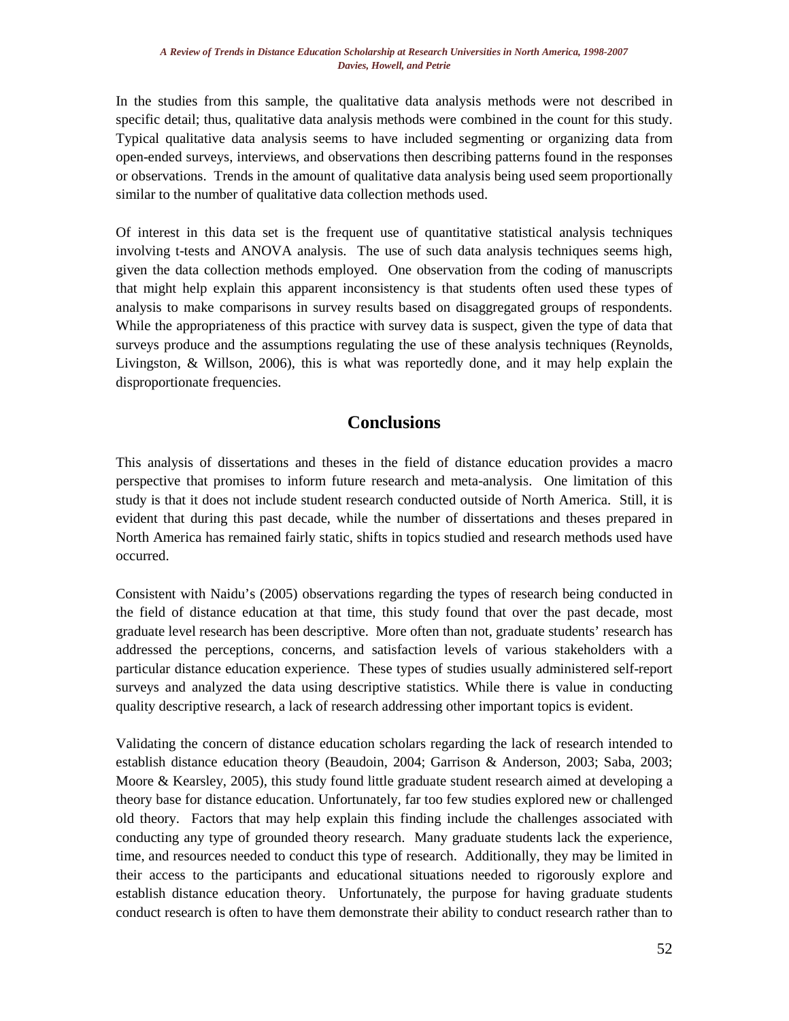In the studies from this sample, the qualitative data analysis methods were not described in specific detail; thus, qualitative data analysis methods were combined in the count for this study. Typical qualitative data analysis seems to have included segmenting or organizing data from open-ended surveys, interviews, and observations then describing patterns found in the responses or observations. Trends in the amount of qualitative data analysis being used seem proportionally similar to the number of qualitative data collection methods used.

Of interest in this data set is the frequent use of quantitative statistical analysis techniques involving t-tests and ANOVA analysis. The use of such data analysis techniques seems high, given the data collection methods employed. One observation from the coding of manuscripts that might help explain this apparent inconsistency is that students often used these types of analysis to make comparisons in survey results based on disaggregated groups of respondents. While the appropriateness of this practice with survey data is suspect, given the type of data that surveys produce and the assumptions regulating the use of these analysis techniques (Reynolds, Livingston, & Willson, 2006), this is what was reportedly done, and it may help explain the disproportionate frequencies.

### **Conclusions**

This analysis of dissertations and theses in the field of distance education provides a macro perspective that promises to inform future research and meta-analysis. One limitation of this study is that it does not include student research conducted outside of North America. Still, it is evident that during this past decade, while the number of dissertations and theses prepared in North America has remained fairly static, shifts in topics studied and research methods used have occurred.

Consistent with Naidu's (2005) observations regarding the types of research being conducted in the field of distance education at that time, this study found that over the past decade, most graduate level research has been descriptive. More often than not, graduate students' research has addressed the perceptions, concerns, and satisfaction levels of various stakeholders with a particular distance education experience. These types of studies usually administered self-report surveys and analyzed the data using descriptive statistics. While there is value in conducting quality descriptive research, a lack of research addressing other important topics is evident.

Validating the concern of distance education scholars regarding the lack of research intended to establish distance education theory (Beaudoin, 2004; Garrison & Anderson, 2003; Saba, 2003; Moore & Kearsley, 2005), this study found little graduate student research aimed at developing a theory base for distance education. Unfortunately, far too few studies explored new or challenged old theory. Factors that may help explain this finding include the challenges associated with conducting any type of grounded theory research. Many graduate students lack the experience, time, and resources needed to conduct this type of research. Additionally, they may be limited in their access to the participants and educational situations needed to rigorously explore and establish distance education theory. Unfortunately, the purpose for having graduate students conduct research is often to have them demonstrate their ability to conduct research rather than to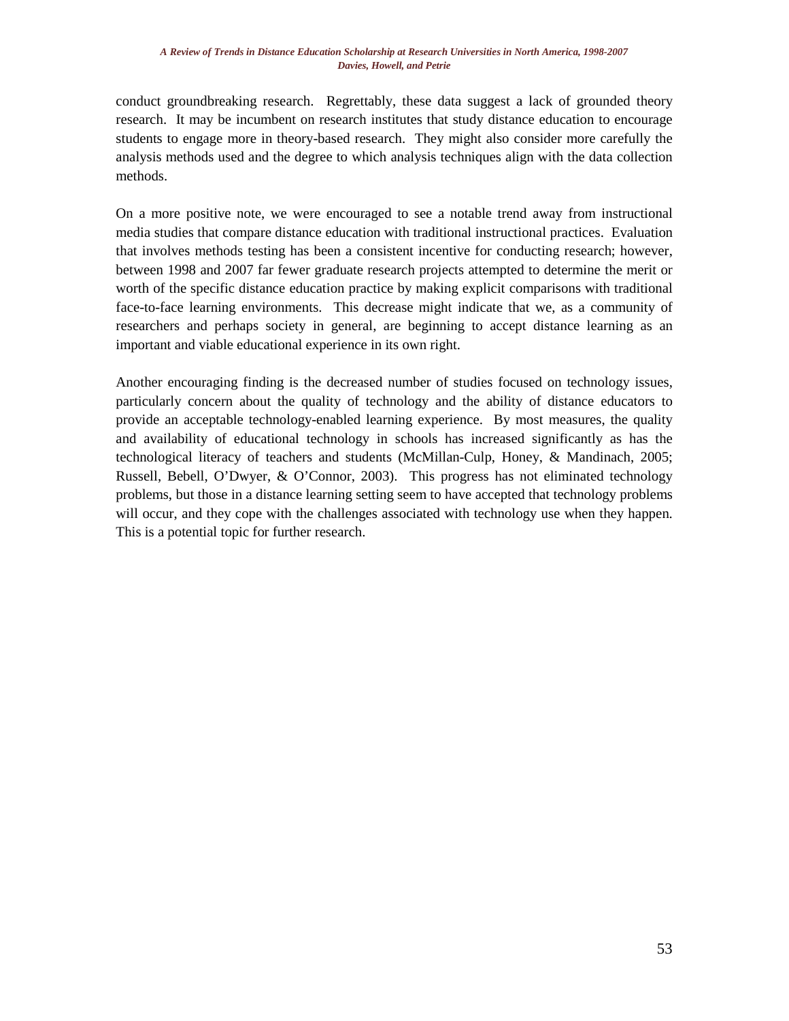conduct groundbreaking research. Regrettably, these data suggest a lack of grounded theory research. It may be incumbent on research institutes that study distance education to encourage students to engage more in theory-based research. They might also consider more carefully the analysis methods used and the degree to which analysis techniques align with the data collection methods.

On a more positive note, we were encouraged to see a notable trend away from instructional media studies that compare distance education with traditional instructional practices. Evaluation that involves methods testing has been a consistent incentive for conducting research; however, between 1998 and 2007 far fewer graduate research projects attempted to determine the merit or worth of the specific distance education practice by making explicit comparisons with traditional face-to-face learning environments. This decrease might indicate that we, as a community of researchers and perhaps society in general, are beginning to accept distance learning as an important and viable educational experience in its own right.

Another encouraging finding is the decreased number of studies focused on technology issues, particularly concern about the quality of technology and the ability of distance educators to provide an acceptable technology-enabled learning experience. By most measures, the quality and availability of educational technology in schools has increased significantly as has the technological literacy of teachers and students (McMillan-Culp, Honey, & Mandinach, 2005; Russell, Bebell, O'Dwyer, & O'Connor, 2003). This progress has not eliminated technology problems, but those in a distance learning setting seem to have accepted that technology problems will occur, and they cope with the challenges associated with technology use when they happen. This is a potential topic for further research.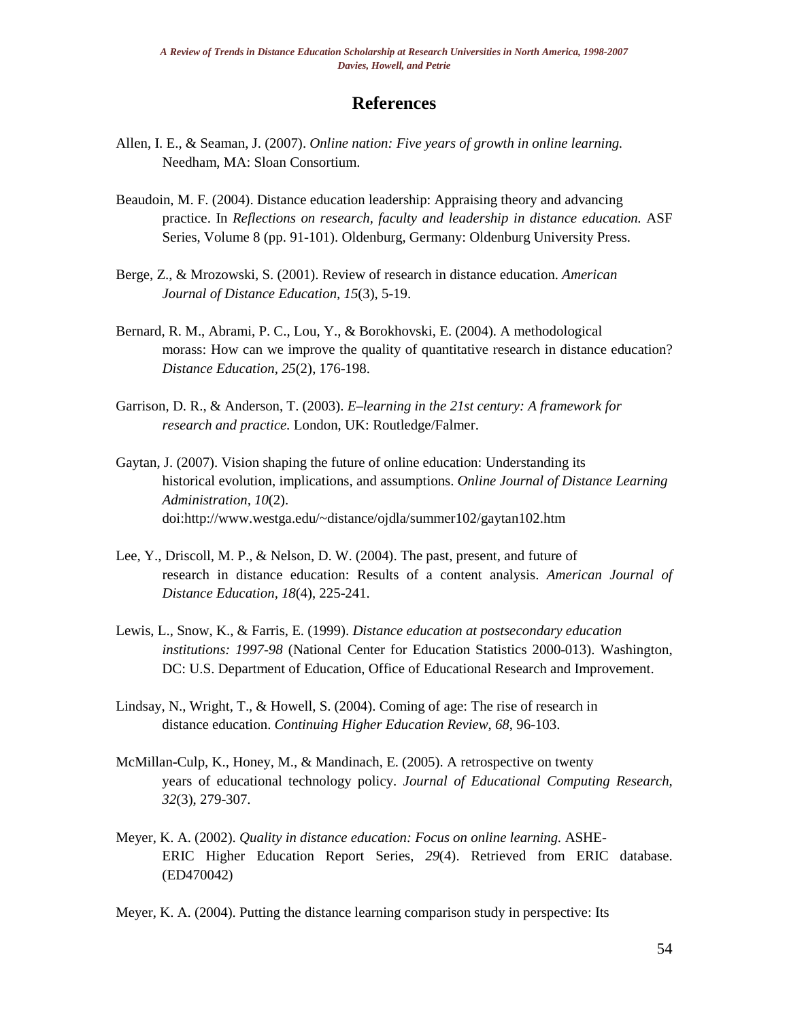### **References**

- Allen, I. E., & Seaman, J. (2007). *Online nation: Five years of growth in online learning.*  Needham, MA: Sloan Consortium.
- Beaudoin, M. F. (2004). Distance education leadership: Appraising theory and advancing practice. In *Reflections on research, faculty and leadership in distance education.* ASF Series, Volume 8 (pp. 91-101). Oldenburg, Germany: Oldenburg University Press.
- Berge, Z., & Mrozowski, S. (2001). Review of research in distance education. *American Journal of Distance Education, 15*(3), 5-19.
- Bernard, R. M., Abrami, P. C., Lou, Y., & Borokhovski, E. (2004). A methodological morass: How can we improve the quality of quantitative research in distance education? *Distance Education, 25*(2), 176-198.
- Garrison, D. R., & Anderson, T. (2003). *E–learning in the 21st century: A framework for research and practice.* London, UK: Routledge/Falmer.
- Gaytan, J. (2007). Vision shaping the future of online education: Understanding its historical evolution, implications, and assumptions. *Online Journal of Distance Learning Administration, 10*(2). doi:http://www.westga.edu/~distance/ojdla/summer102/gaytan102.htm
- Lee, Y., Driscoll, M. P., & Nelson, D. W. (2004). The past, present, and future of research in distance education: Results of a content analysis. *American Journal of Distance Education, 18*(4), 225-241.
- Lewis, L., Snow, K., & Farris, E. (1999). *Distance education at postsecondary education institutions: 1997-98* (National Center for Education Statistics 2000-013). Washington, DC: U.S. Department of Education, Office of Educational Research and Improvement.
- Lindsay, N., Wright, T., & Howell, S. (2004). Coming of age: The rise of research in distance education. *Continuing Higher Education Review*, *68*, 96-103.
- McMillan-Culp, K., Honey, M., & Mandinach, E. (2005). A retrospective on twenty years of educational technology policy. *Journal of Educational Computing Research, 32*(3), 279-307.
- Meyer, K. A. (2002). *Quality in distance education: Focus on online learning.* ASHE-ERIC Higher Education Report Series, *29*(4). Retrieved from ERIC database. (ED470042)

Meyer, K. A. (2004). Putting the distance learning comparison study in perspective: Its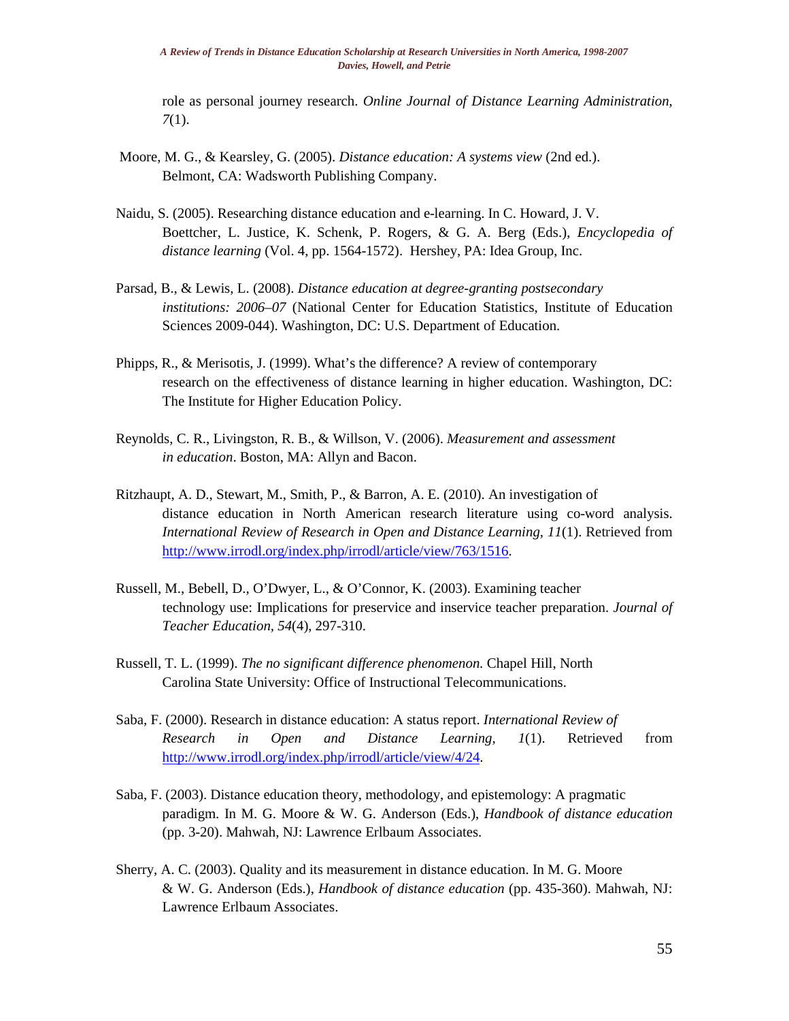role as personal journey research. *Online Journal of Distance Learning Administration, 7*(1).

- Moore, M. G., & Kearsley, G. (2005). *Distance education: A systems view* (2nd ed.). Belmont, CA: Wadsworth Publishing Company.
- Naidu, S. (2005). Researching distance education and e-learning. In C. Howard, J. V. Boettcher, L. Justice, K. Schenk, P. Rogers, & G. A. Berg (Eds.), *Encyclopedia of distance learning* (Vol. 4, pp. 1564-1572). Hershey, PA: Idea Group, Inc.
- Parsad, B., & Lewis, L. (2008). *Distance education at degree-granting postsecondary institutions: 2006–07* (National Center for Education Statistics, Institute of Education Sciences 2009-044). Washington, DC: U.S. Department of Education.
- Phipps, R., & Merisotis, J. (1999). What's the difference? A review of contemporary research on the effectiveness of distance learning in higher education. Washington, DC: The Institute for Higher Education Policy.
- Reynolds, C. R., Livingston, R. B., & Willson, V. (2006). *Measurement and assessment in education*. Boston, MA: Allyn and Bacon.
- Ritzhaupt, A. D., Stewart, M., Smith, P., & Barron, A. E. (2010). An investigation of distance education in North American research literature using co-word analysis. *International Review of Research in Open and Distance Learning, 11*(1). Retrieved from [http://www.irrodl.org/index.php/irrodl/article/view/763/1516.](http://www.irrodl.org/index.php/irrodl/article/view/763/1516)
- Russell, M., Bebell, D., O'Dwyer, L., & O'Connor, K. (2003). Examining teacher technology use: Implications for preservice and inservice teacher preparation. *Journal of Teacher Education, 54*(4), 297-310.
- Russell, T. L. (1999). *The no significant difference phenomenon.* Chapel Hill, North Carolina State University: Office of Instructional Telecommunications.
- Saba, F. (2000). Research in distance education: A status report. *International Review of Research in Open and Distance Learning, 1*(1). Retrieved from [http://www.irrodl.org/index.php/irrodl/article/view/4/24.](http://www.irrodl.org/index.php/irrodl/article/view/4/24)
- Saba, F. (2003). Distance education theory, methodology, and epistemology: A pragmatic paradigm. In M. G. Moore & W. G. Anderson (Eds.), *Handbook of distance education* (pp. 3-20). Mahwah, NJ: Lawrence Erlbaum Associates.
- Sherry, A. C. (2003). Quality and its measurement in distance education. In M. G. Moore & W. G. Anderson (Eds.), *Handbook of distance education* (pp. 435-360). Mahwah, NJ: Lawrence Erlbaum Associates.